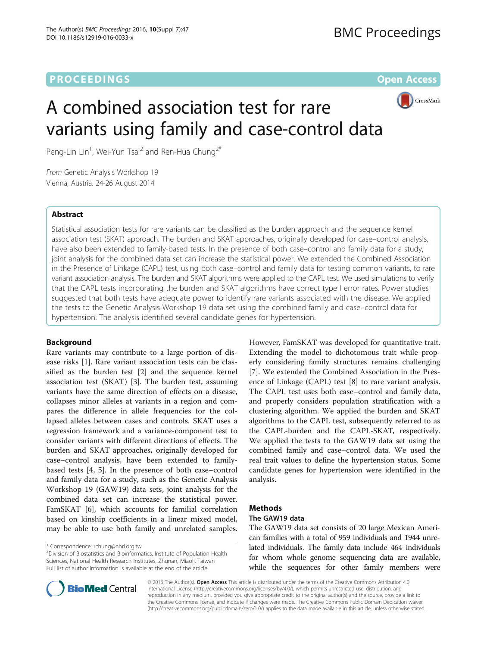# **PROCEEDINGS CONSUMING S** Open Access **CONSUMING S**



# A combined association test for rare variants using family and case-control data

Peng-Lin Lin<sup>1</sup>, Wei-Yun Tsai<sup>2</sup> and Ren-Hua Chung<sup>2\*</sup>

From Genetic Analysis Workshop 19 Vienna, Austria. 24-26 August 2014

# Abstract

Statistical association tests for rare variants can be classified as the burden approach and the sequence kernel association test (SKAT) approach. The burden and SKAT approaches, originally developed for case–control analysis, have also been extended to family-based tests. In the presence of both case–control and family data for a study, joint analysis for the combined data set can increase the statistical power. We extended the Combined Association in the Presence of Linkage (CAPL) test, using both case–control and family data for testing common variants, to rare variant association analysis. The burden and SKAT algorithms were applied to the CAPL test. We used simulations to verify that the CAPL tests incorporating the burden and SKAT algorithms have correct type I error rates. Power studies suggested that both tests have adequate power to identify rare variants associated with the disease. We applied the tests to the Genetic Analysis Workshop 19 data set using the combined family and case–control data for hypertension. The analysis identified several candidate genes for hypertension.

# Background

Rare variants may contribute to a large portion of disease risks [[1\]](#page-3-0). Rare variant association tests can be classified as the burden test [\[2](#page-4-0)] and the sequence kernel association test (SKAT) [[3\]](#page-4-0). The burden test, assuming variants have the same direction of effects on a disease, collapses minor alleles at variants in a region and compares the difference in allele frequencies for the collapsed alleles between cases and controls. SKAT uses a regression framework and a variance-component test to consider variants with different directions of effects. The burden and SKAT approaches, originally developed for case–control analysis, have been extended to familybased tests [\[4](#page-4-0), [5\]](#page-4-0). In the presence of both case–control and family data for a study, such as the Genetic Analysis Workshop 19 (GAW19) data sets, joint analysis for the combined data set can increase the statistical power. FamSKAT [\[6](#page-4-0)], which accounts for familial correlation based on kinship coefficients in a linear mixed model, may be able to use both family and unrelated samples.

\* Correspondence: [rchung@nhri.org.tw](mailto:rchung@nhri.org.tw) <sup>2</sup>

Division of Biostatistics and Bioinformatics, Institute of Population Health Sciences, National Health Research Institutes, Zhunan, Miaoli, Taiwan Full list of author information is available at the end of the article

However, FamSKAT was developed for quantitative trait. Extending the model to dichotomous trait while properly considering family structures remains challenging [[7\]](#page-4-0). We extended the Combined Association in the Presence of Linkage (CAPL) test [\[8\]](#page-4-0) to rare variant analysis. The CAPL test uses both case–control and family data, and properly considers population stratification with a clustering algorithm. We applied the burden and SKAT algorithms to the CAPL test, subsequently referred to as the CAPL-burden and the CAPL-SKAT, respectively. We applied the tests to the GAW19 data set using the combined family and case–control data. We used the real trait values to define the hypertension status. Some candidate genes for hypertension were identified in the analysis.

# **Methods**

# The GAW19 data

The GAW19 data set consists of 20 large Mexican American families with a total of 959 individuals and 1944 unrelated individuals. The family data include 464 individuals for whom whole genome sequencing data are available, while the sequences for other family members were



© 2016 The Author(s). Open Access This article is distributed under the terms of the Creative Commons Attribution 4.0 International License [\(http://creativecommons.org/licenses/by/4.0/](http://creativecommons.org/licenses/by/4.0/)), which permits unrestricted use, distribution, and reproduction in any medium, provided you give appropriate credit to the original author(s) and the source, provide a link to the Creative Commons license, and indicate if changes were made. The Creative Commons Public Domain Dedication waiver [\(http://creativecommons.org/publicdomain/zero/1.0/](http://creativecommons.org/publicdomain/zero/1.0/)) applies to the data made available in this article, unless otherwise stated.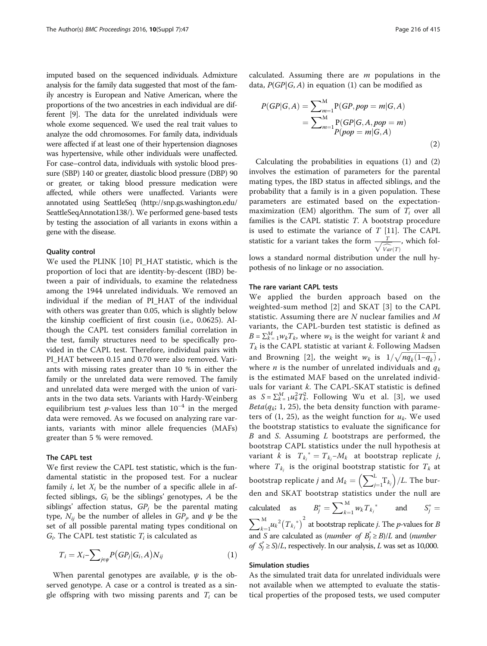<span id="page-1-0"></span>imputed based on the sequenced individuals. Admixture analysis for the family data suggested that most of the family ancestry is European and Native American, where the proportions of the two ancestries in each individual are different [\[9\]](#page-4-0). The data for the unrelated individuals were whole exome sequenced. We used the real trait values to analyze the odd chromosomes. For family data, individuals were affected if at least one of their hypertension diagnoses was hypertensive, while other individuals were unaffected. For case–control data, individuals with systolic blood pressure (SBP) 140 or greater, diastolic blood pressure (DBP) 90 or greater, or taking blood pressure medication were affected, while others were unaffected. Variants were annotated using SeattleSeq [\(http://snp.gs.washington.edu/](http://snp.gs.washington.edu/SeattleSeqAnnotation138/) [SeattleSeqAnnotation138/\)](http://snp.gs.washington.edu/SeattleSeqAnnotation138/). We performed gene-based tests by testing the association of all variants in exons within a gene with the disease.

#### Quality control

We used the PLINK [[10\]](#page-4-0) PI\_HAT statistic, which is the proportion of loci that are identity-by-descent (IBD) between a pair of individuals, to examine the relatedness among the 1944 unrelated individuals. We removed an individual if the median of PI\_HAT of the individual with others was greater than 0.05, which is slightly below the kinship coefficient of first cousin (i.e., 0.0625). Although the CAPL test considers familial correlation in the test, family structures need to be specifically provided in the CAPL test. Therefore, individual pairs with PI\_HAT between 0.15 and 0.70 were also removed. Variants with missing rates greater than 10 % in either the family or the unrelated data were removed. The family and unrelated data were merged with the union of variants in the two data sets. Variants with Hardy-Weinberg equilibrium test p-values less than  $10^{-4}$  in the merged data were removed. As we focused on analyzing rare variants, variants with minor allele frequencies (MAFs) greater than 5 % were removed.

# The CAPL test

We first review the CAPL test statistic, which is the fundamental statistic in the proposed test. For a nuclear family *i*, let  $X_i$  be the number of a specific allele in affected siblings,  $G_i$  be the siblings' genotypes, A be the siblings' affection status,  $GP_j$  be the parental mating type,  $N_{ij}$  be the number of alleles in  $GP_j$ , and  $\psi$  be the set of all possible parental mating types conditional on  $G_i$ . The CAPL test statistic  $T_i$  is calculated as

$$
T_i = X_i - \sum_{j \in \psi} P(GP_j|G_i, A)N_{ij}
$$
\n<sup>(1)</sup>

When parental genotypes are available,  $\psi$  is the observed genotype. A case or a control is treated as a single offspring with two missing parents and  $T_i$  can be calculated. Assuming there are  $m$  populations in the data,  $P(GP|G, A)$  in equation (1) can be modified as

$$
P(GP|G,A) = \sum_{m=1}^{M} P(GP, pop = m|G,A)
$$
  
= 
$$
\sum_{m=1}^{M} P(GP|G,A, pop = m)
$$
  

$$
P(pop = m|G,A)
$$
 (2)

Calculating the probabilities in equations (1) and (2) involves the estimation of parameters for the parental mating types, the IBD status in affected siblings, and the probability that a family is in a given population. These parameters are estimated based on the expectationmaximization (EM) algorithm. The sum of  $T_i$  over all families is the CAPL statistic T. A bootstrap procedure is used to estimate the variance of  $T$  [\[11](#page-4-0)]. The CAPL statistic for a variant takes the form  $\frac{T}{\sqrt{Var(T)}}$ <br>lows a standard normal distribution under t , which follows a standard normal distribution under the null hy-

pothesis of no linkage or no association.

### The rare variant CAPL tests

We applied the burden approach based on the weighted-sum method [[2\]](#page-4-0) and SKAT [[3\]](#page-4-0) to the CAPL statistic. Assuming there are N nuclear families and M variants, the CAPL-burden test statistic is defined as  $B = \sum_{k=1}^{M} w_k T_k$ , where  $w_k$  is the weight for variant k and  $T_k$  is the CAPL statistic at variant  $k$ . Following Madsen and Browning [[2](#page-4-0)], the weight  $w_k$  is  $1/\sqrt{nq_k(1-q_k)}$ , where *n* is the number of unrelated individuals and  $q_k$ is the estimated MAF based on the unrelated individuals for variant k. The CAPL-SKAT statistic is defined as  $S = \sum_{k=1}^{M} u_k^2 T_k^2$ . Following Wu et al. [[3](#page-4-0)], we used  $Beta(q_k; 1, 25)$ , the beta density function with parameters of (1, 25), as the weight function for  $u_k$ . We used the bootstrap statistics to evaluate the significance for B and S. Assuming L bootstraps are performed, the bootstrap CAPL statistics under the null hypothesis at variant k is  $T_{k_j}^* = T_{k_j} - M_k$  at bootstrap replicate j, where  $T_{k_j}$  is the original bootstrap statistic for  $T_k$  at bootstrap replicate  $j$  and  $M_k = \Bigl(\sum_{j=1}^k$  $\left(\sum_{i=1}^L T_{k_j}\right)/L$ . The burden and SKAT bootstrap statistics under the null are calculated as  $B_j^* = \sum_{k=1}^M$  $\sum_{k=1}^{M} w_k T_{k_j}^*$  and  $S_j^* =$  $\sum$  $k=1$  $\int_{k=1}^{M} u_k^2 \big(T_{k_j}^*\big)^2$  at bootstrap replicate j. The p-values for B and *S* are calculated as (*number of*  $B_j^* \geq B$ )/*L* and (*number* of  $S_j^* \ge S$ /L, respectively. In our analysis, L was set as 10,000.

#### Simulation studies

As the simulated trait data for unrelated individuals were not available when we attempted to evaluate the statistical properties of the proposed tests, we used computer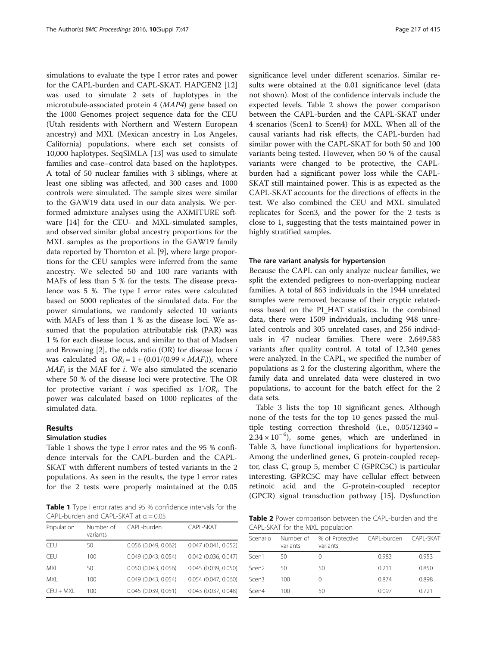simulations to evaluate the type I error rates and power for the CAPL-burden and CAPL-SKAT. HAPGEN2 [[12](#page-4-0)] was used to simulate 2 sets of haplotypes in the microtubule-associated protein 4 (MAP4) gene based on the 1000 Genomes project sequence data for the CEU (Utah residents with Northern and Western European ancestry) and MXL (Mexican ancestry in Los Angeles, California) populations, where each set consists of 10,000 haplotypes. SeqSIMLA [\[13](#page-4-0)] was used to simulate families and case–control data based on the haplotypes. A total of 50 nuclear families with 3 siblings, where at least one sibling was affected, and 300 cases and 1000 controls were simulated. The sample sizes were similar to the GAW19 data used in our data analysis. We performed admixture analyses using the AXMITURE software [\[14](#page-4-0)] for the CEU- and MXL-simulated samples, and observed similar global ancestry proportions for the MXL samples as the proportions in the GAW19 family data reported by Thornton et al. [[9\]](#page-4-0), where large proportions for the CEU samples were inferred from the same ancestry. We selected 50 and 100 rare variants with MAFs of less than 5 % for the tests. The disease prevalence was 5 %. The type I error rates were calculated based on 5000 replicates of the simulated data. For the power simulations, we randomly selected 10 variants with MAFs of less than 1 % as the disease loci. We assumed that the population attributable risk (PAR) was 1 % for each disease locus, and similar to that of Madsen and Browning  $[2]$  $[2]$  $[2]$ , the odds ratio (OR) for disease locus i was calculated as  $OR_i = 1 + (0.01/(0.99 \times MAF_i))$ , where  $MAF_i$  is the MAF for *i*. We also simulated the scenario where 50 % of the disease loci were protective. The OR for protective variant *i* was specified as  $1/OR_i$ . The power was calculated based on 1000 replicates of the simulated data.

# Results

# Simulation studies

Table 1 shows the type I error rates and the 95 % confidence intervals for the CAPL-burden and the CAPL-SKAT with different numbers of tested variants in the 2 populations. As seen in the results, the type I error rates for the 2 tests were properly maintained at the 0.05

Table 1 Type I error rates and 95 % confidence intervals for the CAPL-burden and CAPL-SKAT at  $\alpha = 0.05$ 

| Population  | Number of<br>variants | CAPL-burden            | CAPI-SKAT              |
|-------------|-----------------------|------------------------|------------------------|
| <b>CEU</b>  | 50                    | 0.056 (0.049, 0.062)   | $0.047$ (0.041, 0.052) |
| <b>CEU</b>  | 100                   | $0.049$ (0.043, 0.054) | $0.042$ (0.036, 0.047) |
| MXL         | 50                    | 0.050 (0.043, 0.056)   | $0.045$ (0.039, 0.050) |
| <b>MXL</b>  | 100                   | $0.049$ (0.043, 0.054) | $0.054$ (0.047, 0.060) |
| $CEU + MXL$ | 100                   | $0.045$ (0.039, 0.051) | $0.043$ (0.037, 0.048) |

significance level under different scenarios. Similar results were obtained at the 0.01 significance level (data not shown). Most of the confidence intervals include the expected levels. Table 2 shows the power comparison between the CAPL-burden and the CAPL-SKAT under 4 scenarios (Scen1 to Scen4) for MXL. When all of the causal variants had risk effects, the CAPL-burden had similar power with the CAPL-SKAT for both 50 and 100 variants being tested. However, when 50 % of the causal variants were changed to be protective, the CAPLburden had a significant power loss while the CAPL-SKAT still maintained power. This is as expected as the CAPL-SKAT accounts for the directions of effects in the test. We also combined the CEU and MXL simulated replicates for Scen3, and the power for the 2 tests is close to 1, suggesting that the tests maintained power in highly stratified samples.

#### The rare variant analysis for hypertension

Because the CAPL can only analyze nuclear families, we split the extended pedigrees to non-overlapping nuclear families. A total of 863 individuals in the 1944 unrelated samples were removed because of their cryptic relatedness based on the PI\_HAT statistics. In the combined data, there were 1509 individuals, including 948 unrelated controls and 305 unrelated cases, and 256 individuals in 47 nuclear families. There were 2,649,583 variants after quality control. A total of 12,340 genes were analyzed. In the CAPL, we specified the number of populations as 2 for the clustering algorithm, where the family data and unrelated data were clustered in two populations, to account for the batch effect for the 2 data sets.

Table [3](#page-3-0) lists the top 10 significant genes. Although none of the tests for the top 10 genes passed the multiple testing correction threshold (i.e.,  $0.05/12340 =$  $2.34 \times 10^{-6}$ ), some genes, which are underlined in Table [3](#page-3-0), have functional implications for hypertension. Among the underlined genes, G protein-coupled receptor, class C, group 5, member C (GPRC5C) is particular interesting. GPRC5C may have cellular effect between retinoic acid and the G-protein-coupled receptor (GPCR) signal transduction pathway [[15\]](#page-4-0). Dysfunction

Table 2 Power comparison between the CAPL-burden and the CAPL-SKAT for the MXL population

| Scenario          | variants | Number of % of Protective CAPL-burden CAPL-SKAT<br>variants |       |       |
|-------------------|----------|-------------------------------------------------------------|-------|-------|
| Scen1             | 50       | 0                                                           | 0.983 | 0.953 |
| Scen <sub>2</sub> | 50       | 50                                                          | 0.211 | 0.850 |
| Scen3             | 100      | 0                                                           | 0.874 | 0.898 |
| Scen4             | 100      | 50                                                          | 0.097 | 0.721 |
|                   |          |                                                             |       |       |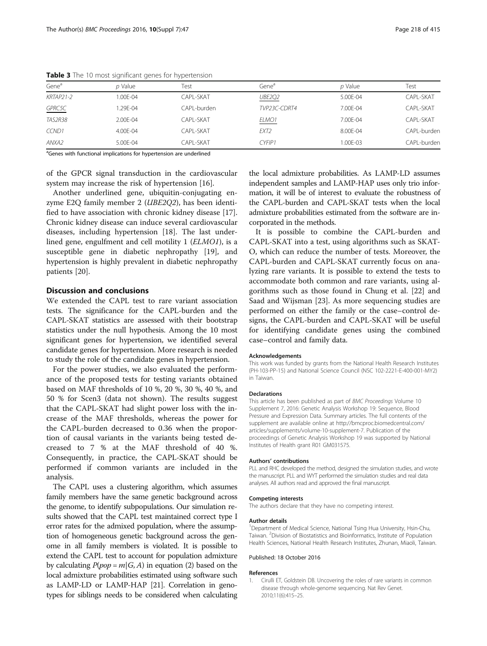| Gene <sup>a</sup> | p Value                                                                         | Test        | Gene <sup>a</sup> | p Value      | Test        |  |
|-------------------|---------------------------------------------------------------------------------|-------------|-------------------|--------------|-------------|--|
| KRTAP21-2         | 1.00F-04                                                                        | CAPI-SKAT   | <b>UBE2Q2</b>     | $5.00F - 04$ | CAPI-SKAT   |  |
| GPRC5C            | 1.29E-04                                                                        | CAPL-burden | TVP23C-CDRT4      | 7.00E-04     | CAPL-SKAT   |  |
| <b>TAS2R38</b>    | 2.00E-04                                                                        | CAPI-SKAT   | ELMO <sub>1</sub> | 7.00F-04     | CAPI -SKAT  |  |
| CCND1             | 4.00E-04                                                                        | CAPL-SKAT   | EXT <sub>2</sub>  | 8.00F-04     | CAPL-burden |  |
| ANXA2             | $5.00F - 04$                                                                    | CAPI-SKAT   | CYFIP1            | $1.00F - 03$ | CAPL-burden |  |
|                   | <sup>a</sup> Genes with functional implications for hypertension are underlined |             |                   |              |             |  |

<span id="page-3-0"></span>Table 3 The 10 most significant genes for hypertension

of the GPCR signal transduction in the cardiovascular system may increase the risk of hypertension [\[16\]](#page-4-0).

Another underlined gene, ubiquitin-conjugating enzyme E2Q family member 2 (UBE2Q2), has been identified to have association with chronic kidney disease [\[17](#page-4-0)]. Chronic kidney disease can induce several cardiovascular diseases, including hypertension [[18\]](#page-4-0). The last underlined gene, engulfment and cell motility 1 (ELMO1), is a susceptible gene in diabetic nephropathy [[19\]](#page-4-0), and hypertension is highly prevalent in diabetic nephropathy patients [\[20\]](#page-4-0).

# Discussion and conclusions

We extended the CAPL test to rare variant association tests. The significance for the CAPL-burden and the CAPL-SKAT statistics are assessed with their bootstrap statistics under the null hypothesis. Among the 10 most significant genes for hypertension, we identified several candidate genes for hypertension. More research is needed to study the role of the candidate genes in hypertension.

For the power studies, we also evaluated the performance of the proposed tests for testing variants obtained based on MAF thresholds of 10 %, 20 %, 30 %, 40 %, and 50 % for Scen3 (data not shown). The results suggest that the CAPL-SKAT had slight power loss with the increase of the MAF thresholds, whereas the power for the CAPL-burden decreased to 0.36 when the proportion of causal variants in the variants being tested decreased to 7 % at the MAF threshold of 40 %. Consequently, in practice, the CAPL-SKAT should be performed if common variants are included in the analysis.

The CAPL uses a clustering algorithm, which assumes family members have the same genetic background across the genome, to identify subpopulations. Our simulation results showed that the CAPL test maintained correct type I error rates for the admixed population, where the assumption of homogeneous genetic background across the genome in all family members is violated. It is possible to extend the CAPL test to account for population admixture by calculating  $P(pop = m | G, A)$  in equation ([2](#page-1-0)) based on the local admixture probabilities estimated using software such as LAMP-LD or LAMP-HAP [\[21\]](#page-4-0). Correlation in genotypes for siblings needs to be considered when calculating the local admixture probabilities. As LAMP-LD assumes independent samples and LAMP-HAP uses only trio information, it will be of interest to evaluate the robustness of the CAPL-burden and CAPL-SKAT tests when the local admixture probabilities estimated from the software are incorporated in the methods.

It is possible to combine the CAPL-burden and CAPL-SKAT into a test, using algorithms such as SKAT-O, which can reduce the number of tests. Moreover, the CAPL-burden and CAPL-SKAT currently focus on analyzing rare variants. It is possible to extend the tests to accommodate both common and rare variants, using algorithms such as those found in Chung et al. [\[22](#page-4-0)] and Saad and Wijsman [[23](#page-4-0)]. As more sequencing studies are performed on either the family or the case–control designs, the CAPL-burden and CAPL-SKAT will be useful for identifying candidate genes using the combined case–control and family data.

#### Acknowledgements

This work was funded by grants from the National Health Research Institutes (PH-103-PP-15) and National Science Council (NSC 102-2221-E-400-001-MY2) in Taiwan.

#### Declarations

This article has been published as part of BMC Proceedings Volume 10 Supplement 7, 2016: Genetic Analysis Workshop 19: Sequence, Blood Pressure and Expression Data. Summary articles. The full contents of the supplement are available online at [http://bmcproc.biomedcentral.com/](http://bmcproc.biomedcentral.com/articles/supplements/volume-10-supplement-7) [articles/supplements/volume-10-supplement-7.](http://bmcproc.biomedcentral.com/articles/supplements/volume-10-supplement-7) Publication of the proceedings of Genetic Analysis Workshop 19 was supported by National Institutes of Health grant R01 GM031575.

#### Authors' contributions

PLL and RHC developed the method, designed the simulation studies, and wrote the manuscript. PLL and WYT performed the simulation studies and real data analyses. All authors read and approved the final manuscript.

#### Competing interests

The authors declare that they have no competing interest.

#### Author details

<sup>1</sup>Department of Medical Science, National Tsing Hua University, Hsin-Chu Taiwan. <sup>2</sup> Division of Biostatistics and Bioinformatics, Institute of Population Health Sciences, National Health Research Institutes, Zhunan, Miaoli, Taiwan.

Published: 18 October 2016

#### References

Cirulli ET, Goldstein DB. Uncovering the roles of rare variants in common disease through whole-genome sequencing. Nat Rev Genet. 2010;11(6):415–25.